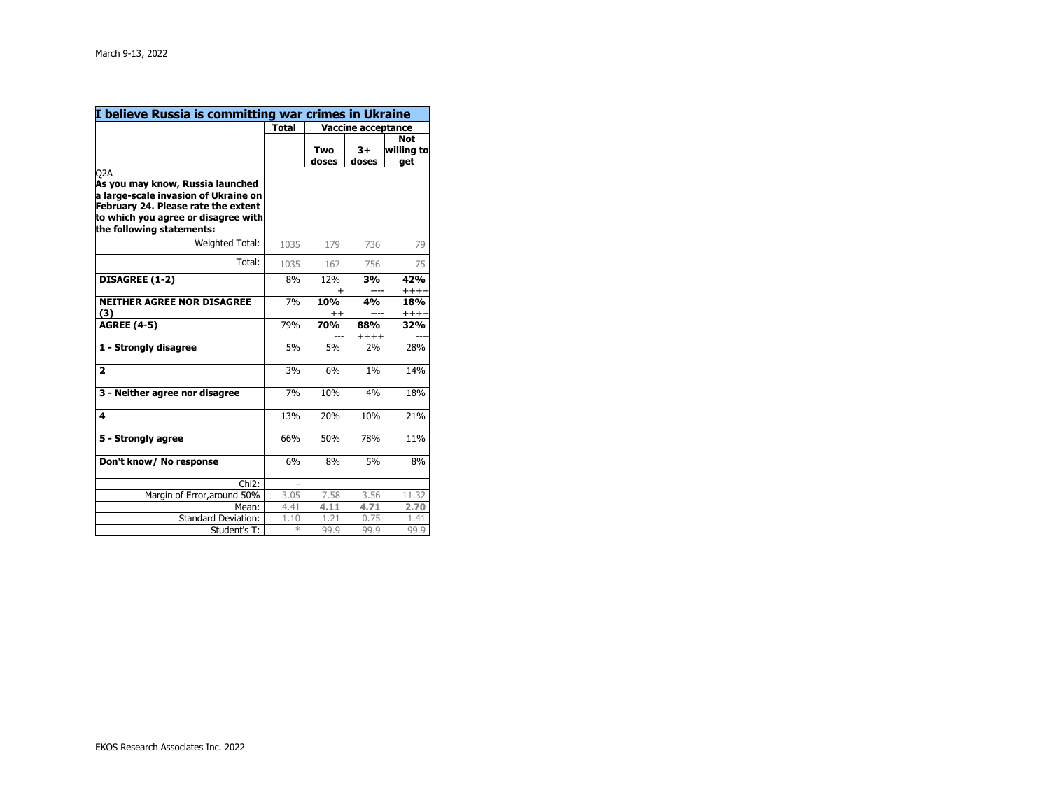| I believe Russia is committing war crimes in Ukraine                                                                                                          |              |                             |               |                         |
|---------------------------------------------------------------------------------------------------------------------------------------------------------------|--------------|-----------------------------|---------------|-------------------------|
|                                                                                                                                                               | <b>Total</b> | Vaccine acceptance          |               |                         |
|                                                                                                                                                               |              |                             |               | <b>Not</b>              |
|                                                                                                                                                               |              | Two                         | 3+            | willing to              |
|                                                                                                                                                               |              | doses                       | doses         | qet                     |
| O2A<br>As you may know, Russia launched<br>a large-scale invasion of Ukraine on<br>February 24. Please rate the extent<br>to which you agree or disagree with |              |                             |               |                         |
| the following statements:                                                                                                                                     |              |                             |               |                         |
| Weighted Total:                                                                                                                                               | 1035         | 179                         | 736           | 79                      |
| Total:                                                                                                                                                        | 1035         | 167                         | 756           | 75                      |
| <b>DISAGREE (1-2)</b>                                                                                                                                         | 8%           | 12%                         | 3%            | 42%                     |
| <b>NEITHER AGREE NOR DISAGREE</b><br>(3)                                                                                                                      | 7%           | +<br>10%<br>$^{\mathrm{+}}$ | 4%            | $++++$<br>18%<br>$++++$ |
| <b>AGREE (4-5)</b>                                                                                                                                            | 79%          | <b>70%</b>                  | 88%<br>$++++$ | 32%                     |
| 1 - Strongly disagree                                                                                                                                         | 5%           | 5%                          | 2%            | 28%                     |
| $\overline{2}$                                                                                                                                                | 3%           | 6%                          | 1%            | 14%                     |
| 3 - Neither agree nor disagree                                                                                                                                | 7%           | 10%                         | 4%            | 18%                     |
| 4                                                                                                                                                             | 13%          | 20%                         | 10%           | 21%                     |
| 5 - Strongly agree                                                                                                                                            | 66%          | 50%                         | 78%           | 11%                     |
| Don't know/ No response                                                                                                                                       | 6%           | 8%                          | 5%            | 8%                      |
| $Chi2$ :                                                                                                                                                      |              |                             |               |                         |
| Margin of Error, around 50%                                                                                                                                   | 3.05         | 7.58                        | 3.56          | 11.32                   |
| Mean:                                                                                                                                                         | 4.41         | 4.11                        | 4.71          | 2.70                    |
| <b>Standard Deviation:</b>                                                                                                                                    | 1.10         | 1.21                        | 0.75          | 1.41                    |
| Student's T:                                                                                                                                                  | $\ast$       | 99.9                        | 99.9          | 99.9                    |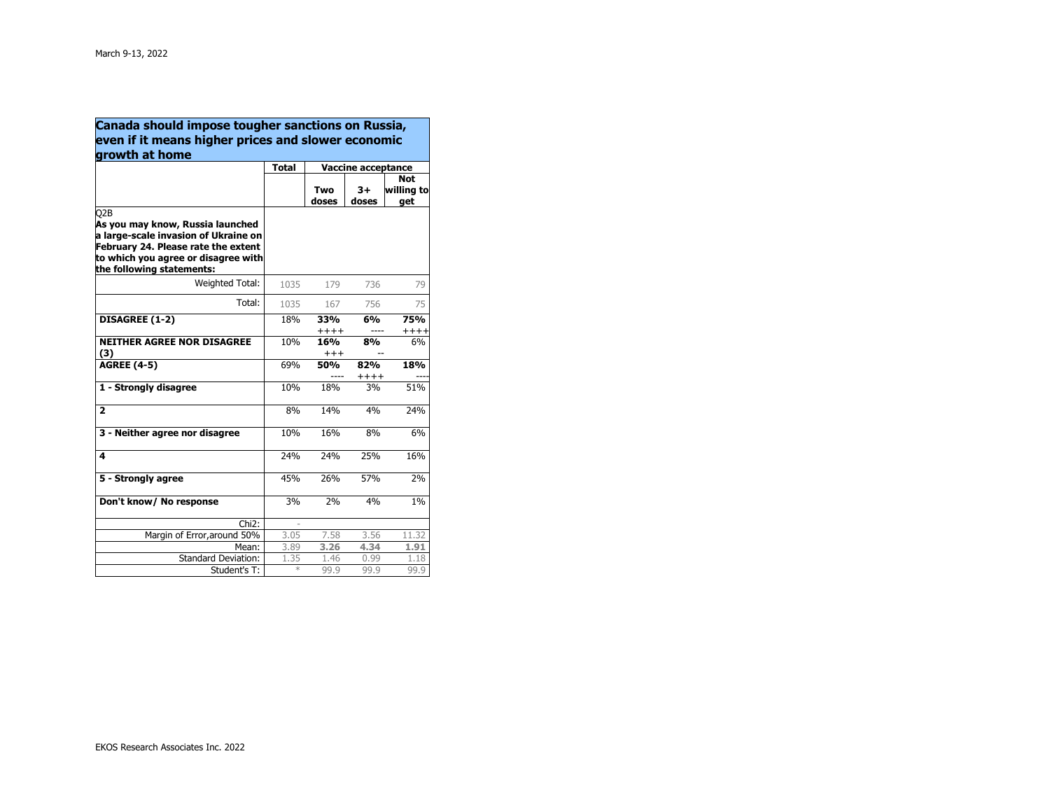| Canada should impose tougher sanctions on Russia,                                                                                                                                          |              |                           |                |               |
|--------------------------------------------------------------------------------------------------------------------------------------------------------------------------------------------|--------------|---------------------------|----------------|---------------|
| even if it means higher prices and slower economic                                                                                                                                         |              |                           |                |               |
| growth at home                                                                                                                                                                             | <b>Total</b> | <b>Vaccine acceptance</b> |                |               |
|                                                                                                                                                                                            |              |                           | <b>Not</b>     |               |
|                                                                                                                                                                                            |              | Two                       | 3+             | willing to    |
|                                                                                                                                                                                            |              | doses                     | doses          | qet           |
| Q2B<br>As you may know, Russia launched<br>a large-scale invasion of Ukraine on<br>February 24. Please rate the extent<br>to which you agree or disagree with<br>the following statements: |              |                           |                |               |
| Weighted Total:                                                                                                                                                                            | 1035         | 179                       | 736            | 79            |
| Total:                                                                                                                                                                                     | 1035         | 167                       | 756            | 75            |
| DISAGREE (1-2)                                                                                                                                                                             | 18%          | 33%<br>$+++++$            | 6%<br>----     | 75%<br>$++++$ |
| <b>NEITHER AGREE NOR DISAGREE</b><br>(3)                                                                                                                                                   | 10%          | 16%<br>$^{\mathrm{+++}}$  | 8%             | 6%            |
| <b>AGREE (4-5)</b>                                                                                                                                                                         | 69%          | 50%                       | 82%<br>$+++++$ | 18%           |
| 1 - Strongly disagree                                                                                                                                                                      | 10%          | 18%                       | 3%             | 51%           |
| $\overline{\mathbf{2}}$                                                                                                                                                                    | 8%           | 14%                       | 4%             | 24%           |
| 3 - Neither agree nor disagree                                                                                                                                                             | 10%          | 16%                       | 8%             | 6%            |
| 4                                                                                                                                                                                          | 24%          | 24%                       | 25%            | 16%           |
| 5 - Strongly agree                                                                                                                                                                         | 45%          | 26%                       | 57%            | 2%            |
| Don't know/ No response                                                                                                                                                                    | 3%           | 2%                        | 4%             | $1\%$         |
| Chi <sub>2</sub> :                                                                                                                                                                         |              |                           |                |               |
| Margin of Error, around 50%                                                                                                                                                                | 3.05         | 7.58                      | 3.56           | 11.32         |
| Mean:                                                                                                                                                                                      | 3.89         | 3.26                      | 4.34           | 1.91          |
| <b>Standard Deviation:</b>                                                                                                                                                                 | 1.35<br>$*$  | 1.46                      | 0.99           | 1.18          |
| Student's T:                                                                                                                                                                               |              | 99.9                      | 99.9           | 99.9          |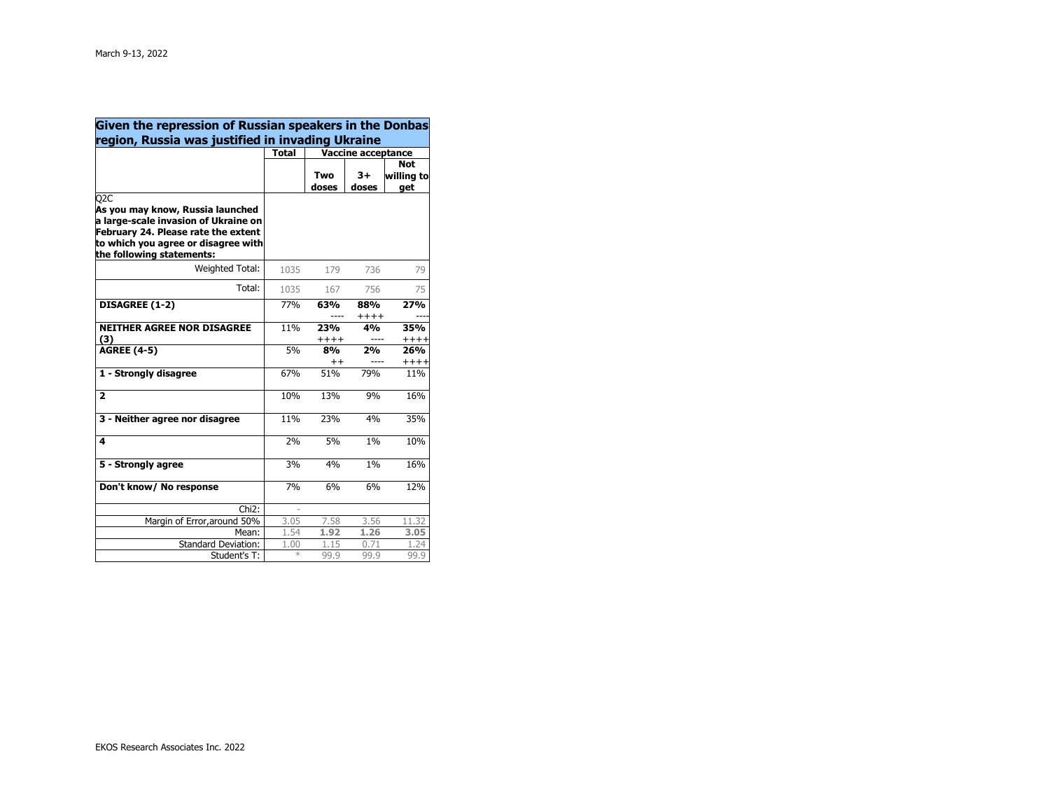| Given the repression of Russian speakers in the Donbas<br>region, Russia was justified in invading Ukraine                                                                                              |              |                           |                |            |
|---------------------------------------------------------------------------------------------------------------------------------------------------------------------------------------------------------|--------------|---------------------------|----------------|------------|
|                                                                                                                                                                                                         |              |                           |                |            |
|                                                                                                                                                                                                         | <b>Total</b> | <b>Vaccine acceptance</b> |                |            |
|                                                                                                                                                                                                         |              |                           |                | <b>Not</b> |
|                                                                                                                                                                                                         |              | Two                       | 3+             | willing to |
|                                                                                                                                                                                                         |              | doses                     | doses          | get        |
| Q <sub>2</sub> C<br>As you may know, Russia launched<br>a large-scale invasion of Ukraine on<br>February 24. Please rate the extent<br>to which you agree or disagree with<br>the following statements: |              |                           |                |            |
| Weighted Total:                                                                                                                                                                                         | 1035         | 179                       | 736            | 79         |
| Total:                                                                                                                                                                                                  | 1035         | 167                       | 756            | 75         |
| DISAGREE (1-2)                                                                                                                                                                                          | 77%          | 63%                       | 88%<br>$+++++$ | <b>27%</b> |
| <b>NEITHER AGREE NOR DISAGREE</b>                                                                                                                                                                       | 11%          | <b>23%</b>                | 4%             | 35%        |
| (3)                                                                                                                                                                                                     |              | $+++++$                   |                | $++++$     |
| <b>AGREE (4-5)</b>                                                                                                                                                                                      | 5%           | 8%                        | 2%             | 26%        |
|                                                                                                                                                                                                         |              | $^{\mathrm{+}}$           |                | $++++$     |
| 1 - Strongly disagree                                                                                                                                                                                   | 67%          | 51%                       | 79%            | 11%        |
| $\overline{2}$                                                                                                                                                                                          | 10%          | 13%                       | 9%             | 16%        |
| 3 - Neither agree nor disagree                                                                                                                                                                          | 11%          | 23%                       | 4%             | 35%        |
| 4                                                                                                                                                                                                       | 2%           | 5%                        | 1%             | 10%        |
| 5 - Strongly agree                                                                                                                                                                                      | 3%           | 4%                        | 1%             | 16%        |
| Don't know/ No response                                                                                                                                                                                 | 7%           | 6%                        | 6%             | 12%        |
| Chi <sub>2</sub> :                                                                                                                                                                                      |              |                           |                |            |
| Margin of Error, around 50%                                                                                                                                                                             | 3.05         | 7.58                      | 3.56           | 11.32      |
| Mean:                                                                                                                                                                                                   | 1.54         | 1.92                      | 1.26           | 3.05       |
| Standard Deviation:                                                                                                                                                                                     | 1.00         | 1.15                      | 0.71           | 1.24       |
| Student's T:                                                                                                                                                                                            | $*$          | 99.9                      | 99.9           | 99.9       |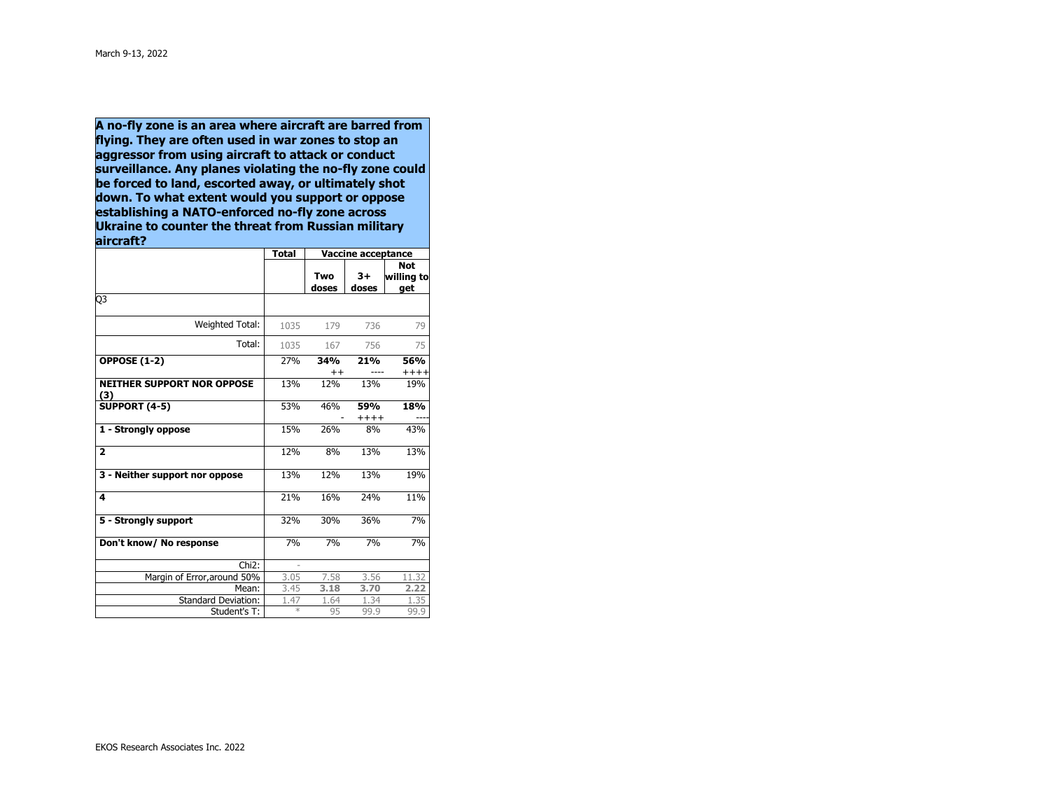**A no-fly zone is an area where aircraft are barred from flying. They are often used in war zones to stop an aggressor from using aircraft to attack or conduct surveillance. Any planes violating the no-fly zone could be forced to land, escorted away, or ultimately shot down. To what extent would you support or oppose establishing a NATO-enforced no-fly zone across Ukraine to counter the threat from Russian militaryaircraft?** 

|                                          | <b>Total</b>  | <b>Vaccine acceptance</b> |               |                                 |
|------------------------------------------|---------------|---------------------------|---------------|---------------------------------|
|                                          |               | Two<br>doses              | $3+$<br>doses | <b>Not</b><br>willing to<br>get |
| Q3                                       |               |                           |               |                                 |
| Weighted Total:                          | 1035          | 179                       | 736           | 79                              |
| Total:                                   | 1035          | 167                       | 756           | 75                              |
| <b>OPPOSE (1-2)</b>                      | 27%           | 34%<br>$^{++}$            | 21%           | 56%<br>$++++$                   |
| <b>NEITHER SUPPORT NOR OPPOSE</b><br>(3) | 13%           | 12%                       | 13%           | 19%                             |
| <b>SUPPORT (4-5)</b>                     | 53%           | 46%                       | 59%<br>$++++$ | 18%                             |
| 1 - Strongly oppose                      | 15%           | 26%                       | 8%            | 43%                             |
| $\overline{2}$                           | 12%           | 8%                        | 13%           | 13%                             |
| 3 - Neither support nor oppose           | 13%           | 12%                       | 13%           | 19%                             |
| 4                                        | 21%           | 16%                       | 24%           | 11%                             |
| 5 - Strongly support                     | 32%           | 30%                       | 36%           | 7%                              |
| Don't know/ No response                  | 7%            | 7%                        | 7%            | 7%                              |
| Chi <sub>2</sub> :                       |               |                           |               |                                 |
| Margin of Error, around 50%              | 3.05          | 7.58                      | 3.56          | 11.32                           |
| Mean:                                    | 3.45          | 3.18                      | 3.70          | 2.22                            |
| <b>Standard Deviation:</b>               | 1.47          | 1.64                      | 1.34          | 1.35                            |
| Student's T:                             | $\frac{1}{2}$ | 95                        | 99.9          | 99.9                            |